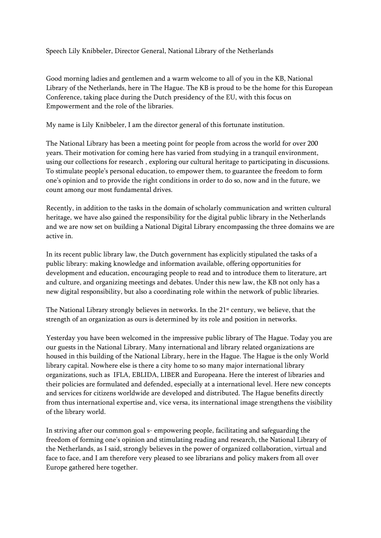## Speech Lily Knibbeler, Director General, National Library of the Netherlands

Good morning ladies and gentlemen and a warm welcome to all of you in the KB, National Library of the Netherlands, here in The Hague. The KB is proud to be the home for this European Conference, taking place during the Dutch presidency of the EU, with this focus on Empowerment and the role of the libraries.

My name is Lily Knibbeler, I am the director general of this fortunate institution.

The National Library has been a meeting point for people from across the world for over 200 years. Their motivation for coming here has varied from studying in a tranquil environment, using our collections for research , exploring our cultural heritage to participating in discussions. To stimulate people's personal education, to empower them, to guarantee the freedom to form one's opinion and to provide the right conditions in order to do so, now and in the future, we count among our most fundamental drives.

Recently, in addition to the tasks in the domain of scholarly communication and written cultural heritage, we have also gained the responsibility for the digital public library in the Netherlands and we are now set on building a National Digital Library encompassing the three domains we are active in.

In its recent public library law, the Dutch government has explicitly stipulated the tasks of a public library: making knowledge and information available, offering opportunities for development and education, encouraging people to read and to introduce them to literature, art and culture, and organizing meetings and debates. Under this new law, the KB not only has a new digital responsibility, but also a coordinating role within the network of public libraries.

The National Library strongly believes in networks. In the  $21<sup>st</sup>$  century, we believe, that the strength of an organization as ours is determined by its role and position in networks.

Yesterday you have been welcomed in the impressive public library of The Hague. Today you are our guests in the National Library. Many international and library related organizations are housed in this building of the National Library, here in the Hague. The Hague is the only World library capital. Nowhere else is there a city home to so many major international library organizations, such as IFLA, EBLIDA, LIBER and Europeana. Here the interest of libraries and their policies are formulated and defended, especially at a international level. Here new concepts and services for citizens worldwide are developed and distributed. The Hague benefits directly from thus international expertise and, vice versa, its international image strengthens the visibility of the library world.

In striving after our common goal s- empowering people, facilitating and safeguarding the freedom of forming one's opinion and stimulating reading and research, the National Library of the Netherlands, as I said, strongly believes in the power of organized collaboration, virtual and face to face, and I am therefore very pleased to see librarians and policy makers from all over Europe gathered here together.